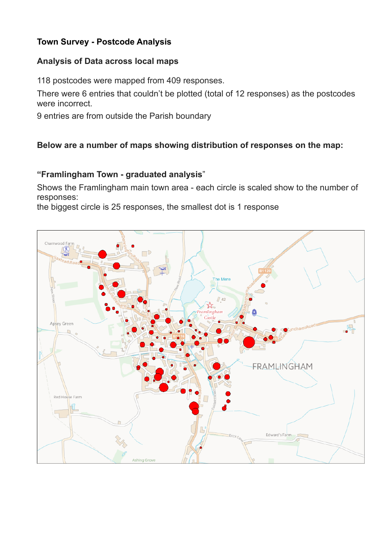# **Town Survey - Postcode Analysis**

#### **Analysis of Data across local maps**

118 postcodes were mapped from 409 responses.

There were 6 entries that couldn't be plotted (total of 12 responses) as the postcodes were incorrect.

9 entries are from outside the Parish boundary

## **Below are a number of maps showing distribution of responses on the map:**

#### **"Framlingham Town - graduated analysis**"

Shows the Framlingham main town area - each circle is scaled show to the number of responses:

the biggest circle is 25 responses, the smallest dot is 1 response

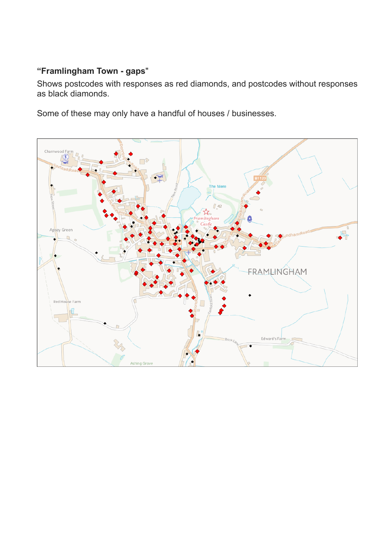# **"Framlingham Town - gaps**"

Shows postcodes with responses as red diamonds, and postcodes without responses as black diamonds.

Some of these may only have a handful of houses / businesses.